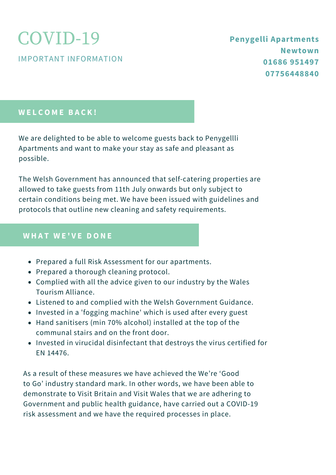IMPORTANT INFORMATION

#### **W E L C O M E B A C K !**

We are delighted to be able to welcome guests back to Penygellli Apartments and want to make your stay as safe and pleasant as possible.

The Welsh Government has announced that self-catering properties are allowed to take guests from 11th July onwards but only subject to certain conditions being met. We have been issued with guidelines and protocols that outline new cleaning and safety requirements.

#### **W H A T W E ' V E D O N E**

- Prepared a full Risk Assessment for our apartments.
- Prepared a thorough cleaning protocol.
- Complied with all the advice given to our industry by the Wales Tourism Alliance.
- Listened to and complied with the Welsh Government Guidance.
- Invested in a 'fogging machine' which is used after every guest
- Hand sanitisers (min 70% alcohol) installed at the top of the communal stairs and on the front door.
- Invested in virucidal disinfectant that destroys the virus certified for EN 14476.

As a result of these measures we have achieved the We're 'Good to Go' industry standard mark. In other words, we have been able to demonstrate to Visit Britain and Visit Wales that we are adhering to Government and public health guidance, have carried out a COVID-19 risk assessment and we have the required processes in place.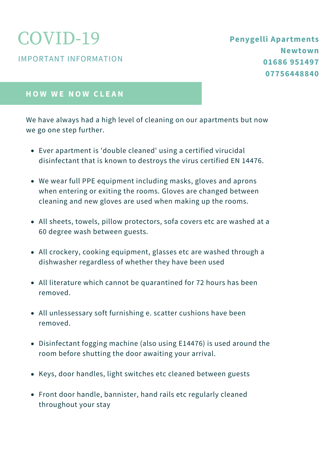IMPORTANT INFORMATION

#### **H O W W E N O W C L E A N**

We have always had a high level of cleaning on our apartments but now we go one step further.

- Ever apartment is 'double cleaned' using a certified virucidal disinfectant that is known to destroys the virus certified EN 14476.
- We wear full PPE equipment including masks, gloves and aprons when entering or exiting the rooms. Gloves are changed between cleaning and new gloves are used when making up the rooms.
- All sheets, towels, pillow protectors, sofa covers etc are washed at a 60 degree wash between guests.
- All crockery, cooking equipment, glasses etc are washed through a dishwasher regardless of whether they have been used
- All literature which cannot be quarantined for 72 hours has been removed.
- All unlessessary soft furnishing e. scatter cushions have been removed.
- Disinfectant fogging machine (also using E14476) is used around the room before shutting the door awaiting your arrival.
- Keys, door handles, light switches etc cleaned between guests
- Front door handle, bannister, hand rails etc regularly cleaned throughout your stay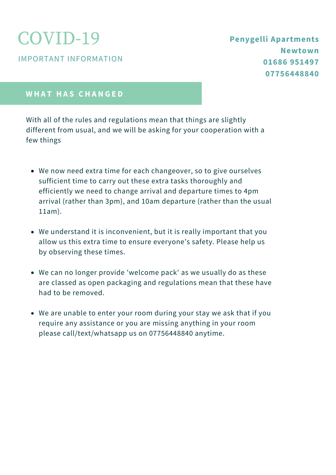IMPORTANT INFORMATION

### **Penygelli Apartments Newtown 01686 951497 07756448840**

#### **W H A T H A S C H A N G E D**

With all of the rules and regulations mean that things are slightly different from usual, and we will be asking for your cooperation with a few things

- We now need extra time for each changeover, so to give ourselves sufficient time to carry out these extra tasks thoroughly and efficiently we need to change arrival and departure times to 4pm arrival (rather than 3pm), and 10am departure (rather than the usual 11am).
- We understand it is inconvenient, but it is really important that you allow us this extra time to ensure everyone's safety. Please help us by observing these times.
- We can no longer provide 'welcome pack' as we usually do as these are classed as open packaging and regulations mean that these have had to be removed.
- We are unable to enter your room during your stay we ask that if you require any assistance or you are missing anything in your room please call/text/whatsapp us on 07756448840 anytime.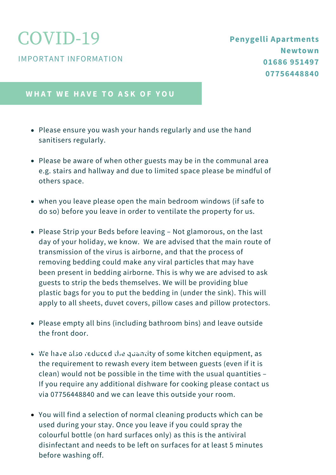IMPORTANT INFORMATION

#### **W H A T W E H A V E T O A S K O F Y O U**

- Please ensure you wash your hands regularly and use the hand sanitisers regularly.
- Please be aware of when other guests may be in the communal area e.g. stairs and hallway and due to limited space please be mindful of others space.
- when you leave please open the main bedroom windows (if safe to do so) before you leave in order to ventilate the property for us.
- Please Strip your Beds before leaving Not glamorous, on the last day of your holiday, we know. We are advised that the main route of transmission of the virus is airborne, and that the process of removing bedding could make any viral particles that may have been present in bedding airborne. This is why we are advised to ask guests to strip the beds themselves. We will be providing blue plastic bags for you to put the bedding in (under the sink). This will apply to all sheets, duvet covers, pillow cases and pillow protectors.
- Please empty all bins (including bathroom bins) and leave outside the front door.
- We have also reduced the quantity of some kitchen equipment, as the requirement to rewash every item between guests (even if it is clean) would not be possible in the time with the usual quantities – If you require any additional dishware for cooking please contact us via 07756448840 and we can leave this outside your room.
	- You will find a selection of normal cleaning products which can be used during your stay. Once you leave if you could spray the colourful bottle (on hard surfaces only) as this is the antiviral disinfectant and needs to be left on surfaces for at least 5 minutes before washing off.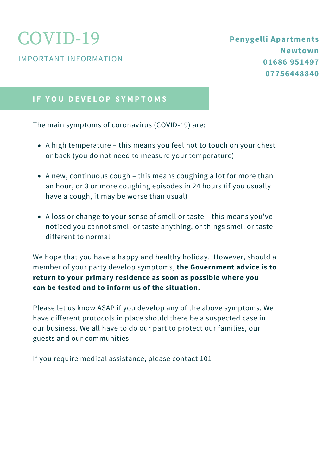IMPORTANT INFORMATION

### **I F Y O U D E V E L O P S Y M P T O M S**

The main symptoms of coronavirus (COVID-19) are:

- A high temperature this means you feel hot to touch on your chest or back (you do not need to measure your temperature)
- A new, continuous cough this means coughing a lot for more than an hour, or 3 or more coughing episodes in 24 hours (if you usually have a cough, it may be worse than usual)
- A loss or change to your sense of smell or taste this means you've noticed you cannot smell or taste anything, or things smell or taste different to normal

We hope that you have a happy and healthy holiday. However, should a member of your party develop symptoms, **the Government advice is to return to your primary residence as soon as possible where you can be tested and to inform us of the situation.**

Please let us know ASAP if you develop any of the above symptoms. We have different protocols in place should there be a suspected case in our business. We all have to do our part to protect our families, our guests and our communities.

If you require medical assistance, please contact 101 **T I M E L I N E O F T H E P R O J E C T**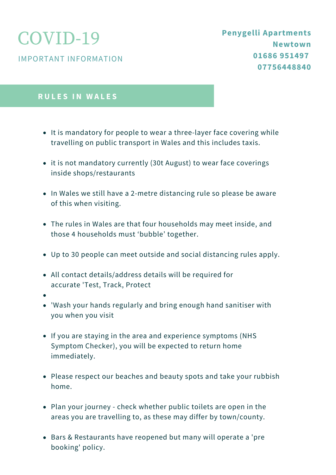IMPORTANT INFORMATION

#### **R U L E S I N W A L E S**

- It is mandatory for people to wear a three-layer face covering while travelling on public transport in Wales and this includes taxis.
- it is not mandatory currently (30t August) to wear face coverings inside shops/restaurants
- In Wales we still have a 2-metre distancing rule so please be aware of this when visiting.
- The rules in Wales are that four households may meet inside, and those 4 households must 'bubble' together.
- Up to 30 people can meet outside and social distancing rules apply.
- All contact details/address details will be required for accurate 'Test, Track, Protect
- 
- 'Wash your hands regularly and bring enough hand sanitiser with you when you visit
- If you are staying in the area and experience symptoms (NHS Symptom Checker), you will be expected to return home immediately.
- Please respect our beaches and beauty spots and take your rubbish home.
- Plan your journey check whether public toilets are open in the areas you are travelling to, as these may differ by town/county.
- Bars & Restaurants have reopened but many will operate a 'pre booking' policy.